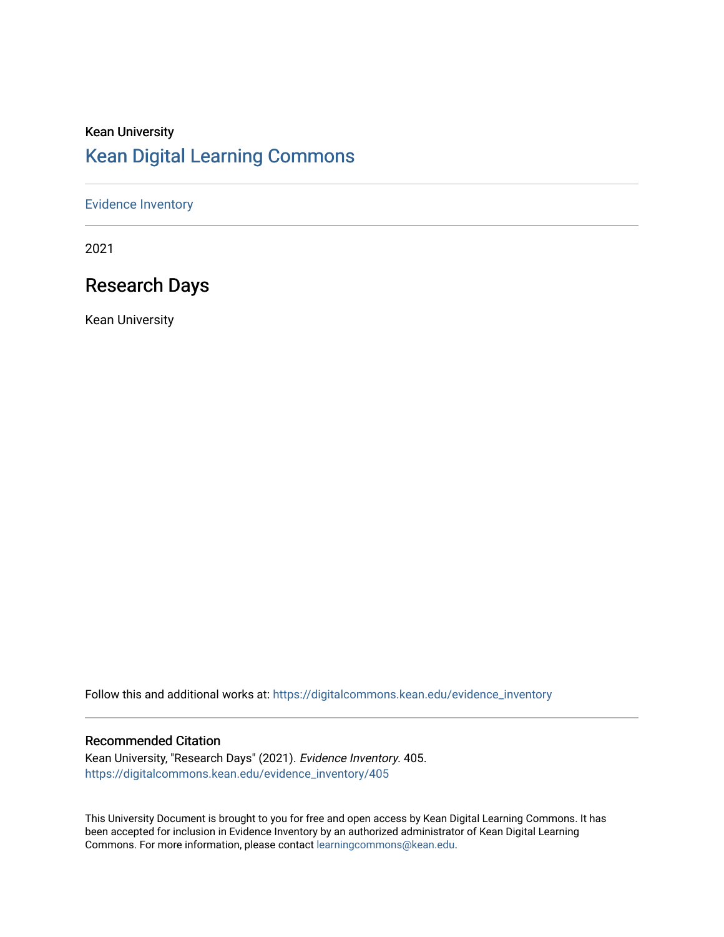## Kean University [Kean Digital Learning Commons](https://digitalcommons.kean.edu/)

#### [Evidence Inventory](https://digitalcommons.kean.edu/evidence_inventory)

2021

## Research Days

Kean University

Follow this and additional works at: [https://digitalcommons.kean.edu/evidence\\_inventory](https://digitalcommons.kean.edu/evidence_inventory?utm_source=digitalcommons.kean.edu%2Fevidence_inventory%2F405&utm_medium=PDF&utm_campaign=PDFCoverPages)

#### Recommended Citation

Kean University, "Research Days" (2021). Evidence Inventory. 405. [https://digitalcommons.kean.edu/evidence\\_inventory/405](https://digitalcommons.kean.edu/evidence_inventory/405?utm_source=digitalcommons.kean.edu%2Fevidence_inventory%2F405&utm_medium=PDF&utm_campaign=PDFCoverPages)

This University Document is brought to you for free and open access by Kean Digital Learning Commons. It has been accepted for inclusion in Evidence Inventory by an authorized administrator of Kean Digital Learning Commons. For more information, please contact [learningcommons@kean.edu.](mailto:learningcommons@kean.edu)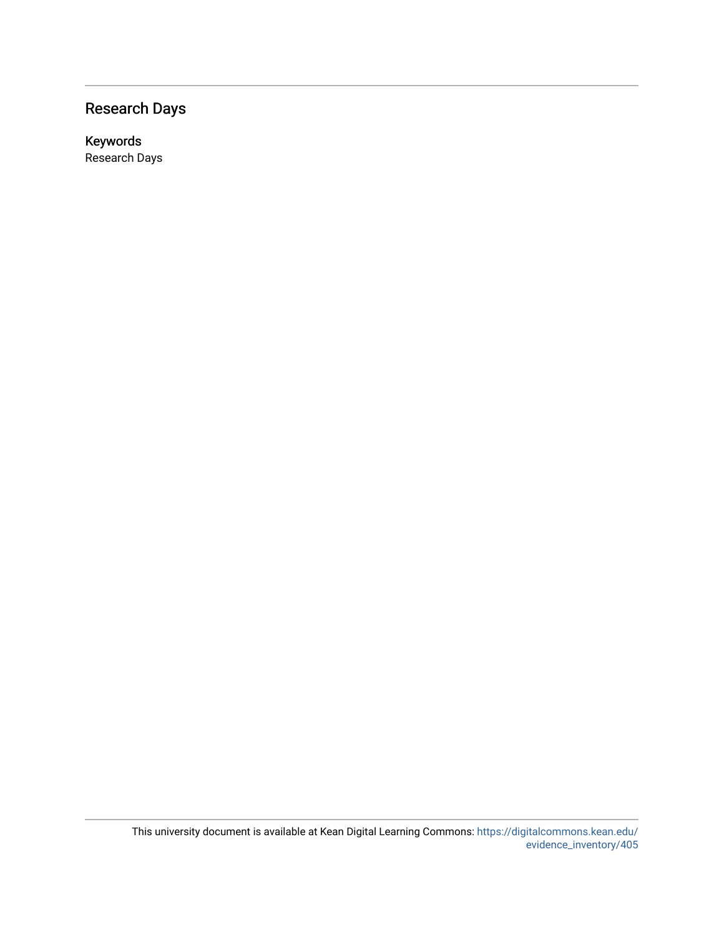## Research Days

Keywords Research Days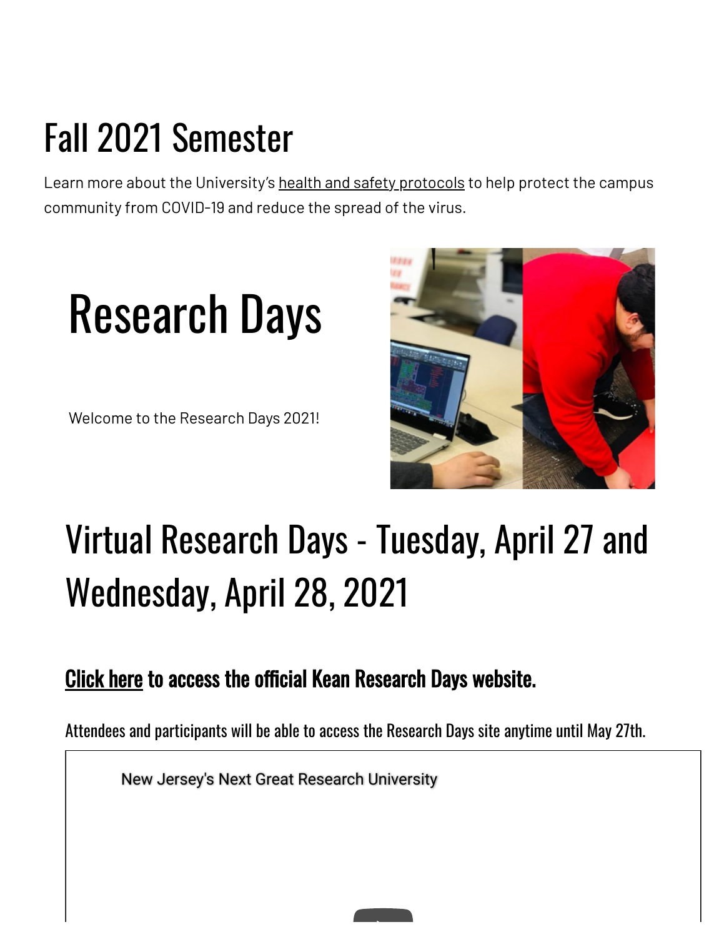# Fall 2021 Semester

Learn more about the University's health and safety [protocols](https://www.kean.edu/welcome-fall-2021-semester) to help protect the campus community from COVID-19 and reduce the spread of the virus.

# Research Days

Welcome to the Research Days 2021!



# Virtual Research Days - Tuesday, April 27 and Wednesday, April 28, 2021

## [Click](https://www.keanresearchdays.com/) here to access the official Kean Research Days website.

Attendees and participants will be able to access the Research Days site anytime until May 27th.

New Jersey's Next Great Research University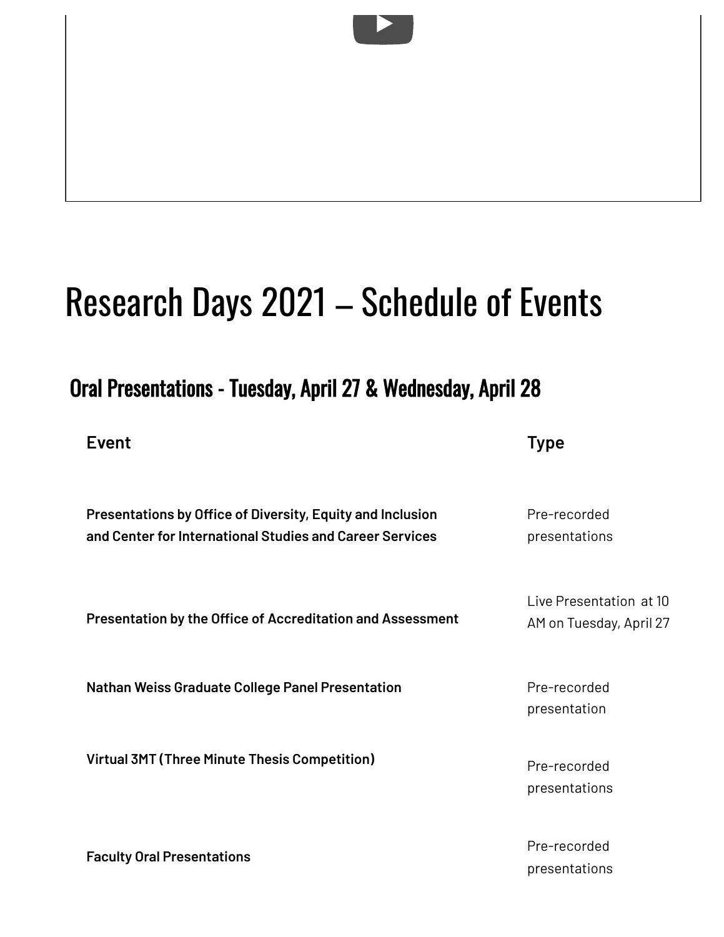# Research Days 2021 – Schedule of Events

## Oral Presentations - Tuesday, April 27 & Wednesday, April 28

**Event Type**

presentations

| Presentations by Office of Diversity, Equity and Inclusion<br>and Center for International Studies and Career Services | Pre-recorded<br>presentations                      |
|------------------------------------------------------------------------------------------------------------------------|----------------------------------------------------|
| <b>Presentation by the Office of Accreditation and Assessment</b>                                                      | Live Presentation at 10<br>AM on Tuesday, April 27 |
| <b>Nathan Weiss Graduate College Panel Presentation</b>                                                                | Pre-recorded<br>presentation                       |
| Virtual 3MT (Three Minute Thesis Competition)                                                                          | Pre-recorded<br>presentations                      |
| Eaculty Oral Procontations                                                                                             | Pre-recorded                                       |

**Faculty Oral Presentations**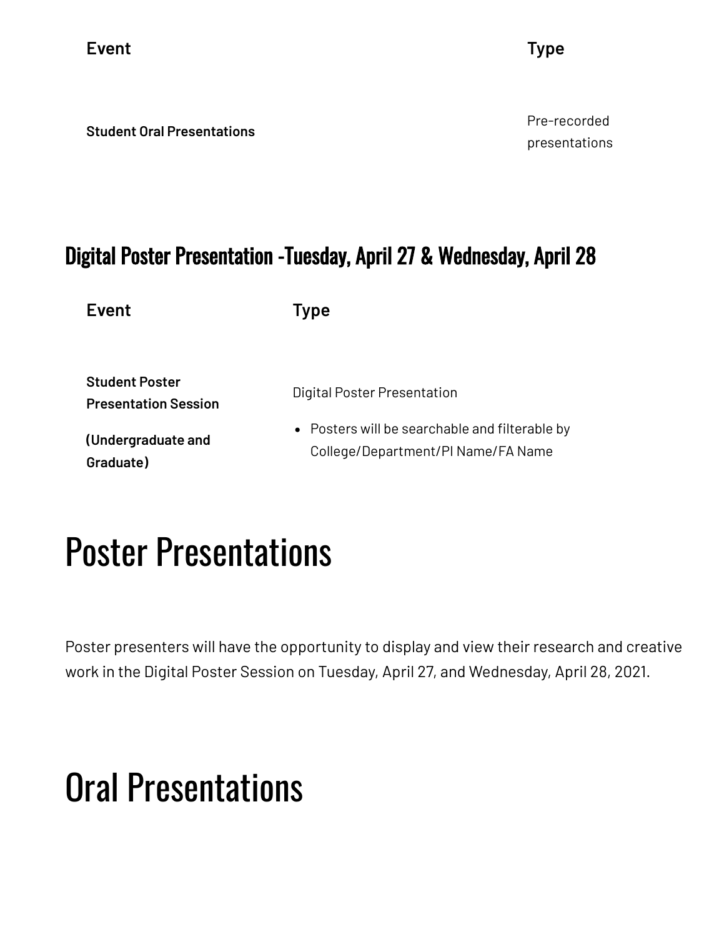**Event Type**

**Student Oral Presentations**

Pre-recorded presentations

## Digital Poster Presentation -Tuesday, April 27 & Wednesday, April 28

**Event Type**

| <b>Student Poster</b>       |  |
|-----------------------------|--|
| <b>Presentation Session</b> |  |

**(Undergraduate and Graduate)**

Digital Poster Presentation

Posters will be searchable and filterable by College/Department/PI Name/FA Name

## Poster Presentations

Poster presenters will have the opportunity to display and view their research and creative work in the Digital Poster Session on Tuesday, April 27, and Wednesday, April 28, 2021.

# Oral Presentations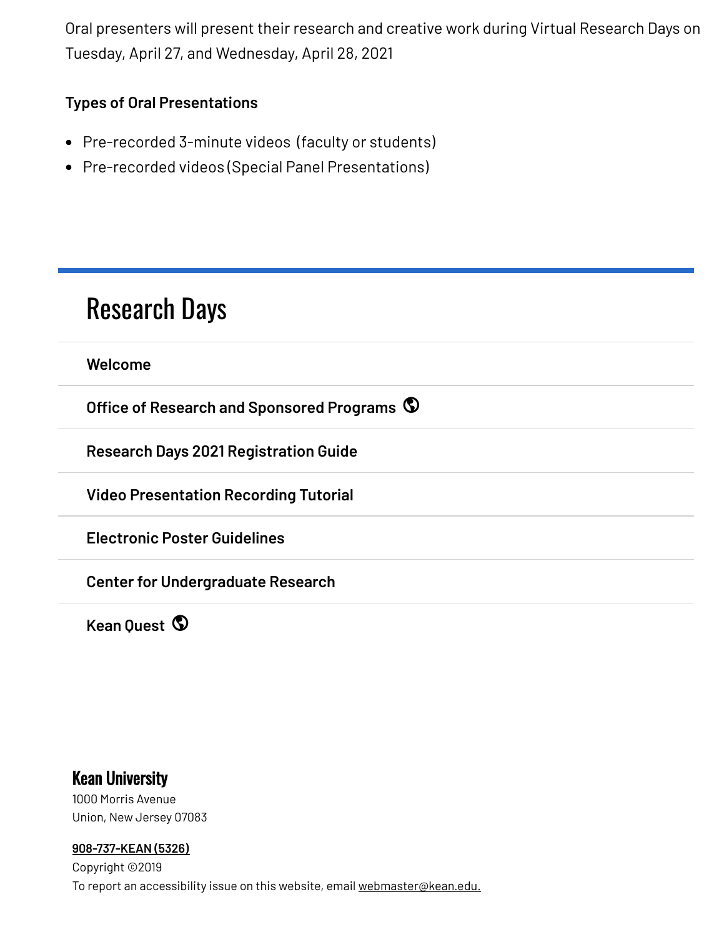Oral presenters will present their research and creative work during Virtual Research Days on Tuesday, April 27, and Wednesday, April 28, 2021

### **Types of Oral Presentations**

- Pre-recorded 3-minute videos (faculty or students)
- Pre-recorded videos (Special Panel Presentations)

## [Research](https://www.kean.edu/research-days) Days

**[Welcome](https://www.kean.edu/research-days/welcome)**

**Office of Research and [Sponsored](https://www.kean.edu/research-days/orsp-redirect-2) Programs**

**Research Days 2021 [Registration](https://www.kean.edu/research-days/research-days-2021-registration-guide) Guide**

**Video [Presentation](https://www.kean.edu/research-days/video-presentation-recording-tutorial) Recording Tutorial**

**Electronic Poster [Guidelines](https://www.kean.edu/research-days/electronic-poster-guidelines)**

**Center for [Undergraduate](https://www.kean.edu/offices/center-undergraduate-research) Research**

**Kean [Quest](https://www.kean.edu/research-days-2020/kean-quest-redirect)**

### Kean University

1000 Morris Avenue Union, New Jersey 07083

#### **[908-737-KEAN](tel:908-737-5326) (5326)**

Copyright ©2019 To report an accessibility issue on this website, email [webmaster@kean.edu.](mailto:webmaster@kean.edu)